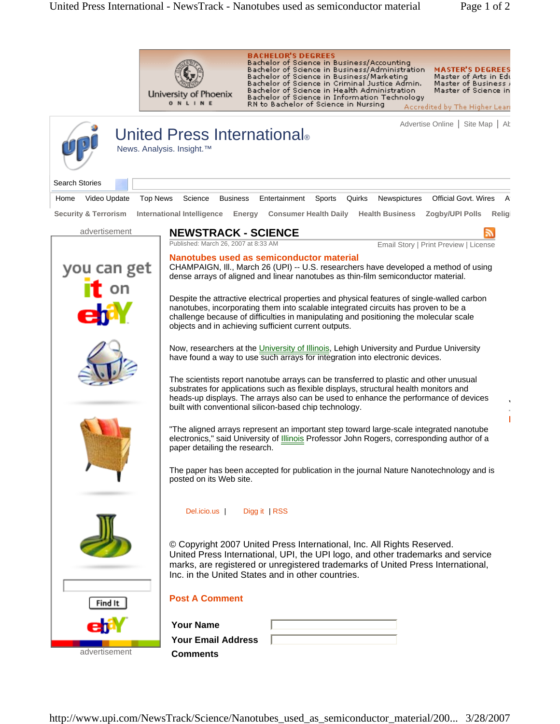